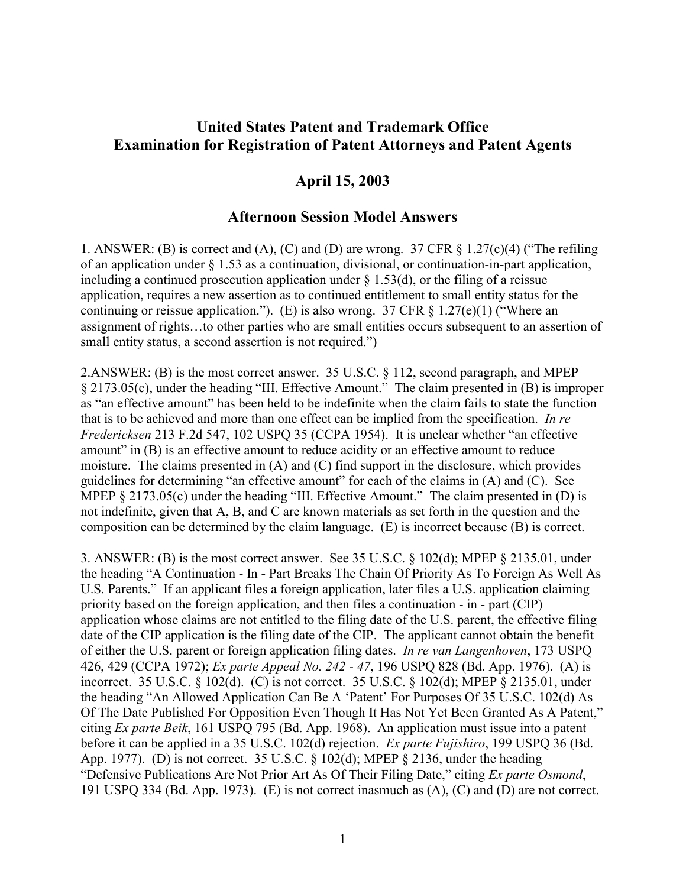## **United States Patent and Trademark Office Examination for Registration of Patent Attorneys and Patent Agents**

## **April 15, 2003**

## **Afternoon Session Model Answers**

1. ANSWER: (B) is correct and (A), (C) and (D) are wrong. 37 CFR  $\S$  1.27(c)(4) ("The refiling of an application under § 1.53 as a continuation, divisional, or continuation-in-part application, including a continued prosecution application under  $\S$  1.53(d), or the filing of a reissue application, requires a new assertion as to continued entitlement to small entity status for the continuing or reissue application."). (E) is also wrong. 37 CFR  $\S 1.27(e)(1)$  ("Where an assignment of rights…to other parties who are small entities occurs subsequent to an assertion of small entity status, a second assertion is not required.")

2.ANSWER: (B) is the most correct answer. 35 U.S.C. § 112, second paragraph, and MPEP § 2173.05(c), under the heading "III. Effective Amount." The claim presented in (B) is improper as "an effective amount" has been held to be indefinite when the claim fails to state the function that is to be achieved and more than one effect can be implied from the specification. *In re Fredericksen* 213 F.2d 547, 102 USPQ 35 (CCPA 1954). It is unclear whether "an effective amount" in (B) is an effective amount to reduce acidity or an effective amount to reduce moisture. The claims presented in (A) and (C) find support in the disclosure, which provides guidelines for determining "an effective amount" for each of the claims in (A) and (C). See MPEP § 2173.05(c) under the heading "III. Effective Amount." The claim presented in (D) is not indefinite, given that A, B, and C are known materials as set forth in the question and the composition can be determined by the claim language. (E) is incorrect because (B) is correct.

3. ANSWER: (B) is the most correct answer. See 35 U.S.C. § 102(d); MPEP § 2135.01, under the heading "A Continuation - In - Part Breaks The Chain Of Priority As To Foreign As Well As U.S. Parents." If an applicant files a foreign application, later files a U.S. application claiming priority based on the foreign application, and then files a continuation - in - part (CIP) application whose claims are not entitled to the filing date of the U.S. parent, the effective filing date of the CIP application is the filing date of the CIP. The applicant cannot obtain the benefit of either the U.S. parent or foreign application filing dates. *In re van Langenhoven*, 173 USPQ 426, 429 (CCPA 1972); *Ex parte Appeal No. 242 - 47*, 196 USPQ 828 (Bd. App. 1976). (A) is incorrect. 35 U.S.C. § 102(d). (C) is not correct. 35 U.S.C. § 102(d); MPEP § 2135.01, under the heading "An Allowed Application Can Be A 'Patent' For Purposes Of 35 U.S.C. 102(d) As Of The Date Published For Opposition Even Though It Has Not Yet Been Granted As A Patent," citing *Ex parte Beik*, 161 USPQ 795 (Bd. App. 1968). An application must issue into a patent before it can be applied in a 35 U.S.C. 102(d) rejection. *Ex parte Fujishiro*, 199 USPQ 36 (Bd. App. 1977). (D) is not correct. 35 U.S.C.  $\S$  102(d); MPEP  $\S$  2136, under the heading "Defensive Publications Are Not Prior Art As Of Their Filing Date," citing *Ex parte Osmond*, 191 USPQ 334 (Bd. App. 1973). (E) is not correct inasmuch as (A), (C) and (D) are not correct.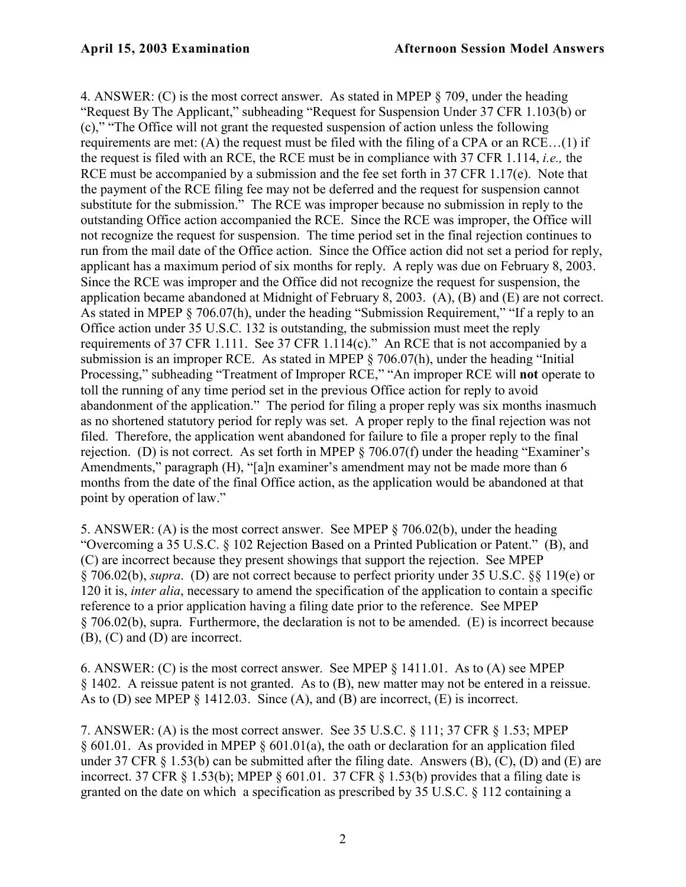4. ANSWER: (C) is the most correct answer. As stated in MPEP § 709, under the heading "Request By The Applicant," subheading "Request for Suspension Under 37 CFR 1.103(b) or (c)," "The Office will not grant the requested suspension of action unless the following requirements are met: (A) the request must be filed with the filing of a CPA or an RCE…(1) if the request is filed with an RCE, the RCE must be in compliance with 37 CFR 1.114, *i.e.,* the RCE must be accompanied by a submission and the fee set forth in 37 CFR 1.17(e). Note that the payment of the RCE filing fee may not be deferred and the request for suspension cannot substitute for the submission." The RCE was improper because no submission in reply to the outstanding Office action accompanied the RCE. Since the RCE was improper, the Office will not recognize the request for suspension. The time period set in the final rejection continues to run from the mail date of the Office action. Since the Office action did not set a period for reply, applicant has a maximum period of six months for reply. A reply was due on February 8, 2003. Since the RCE was improper and the Office did not recognize the request for suspension, the application became abandoned at Midnight of February 8, 2003. (A), (B) and (E) are not correct. As stated in MPEP § 706.07(h), under the heading "Submission Requirement," "If a reply to an Office action under 35 U.S.C. 132 is outstanding, the submission must meet the reply requirements of 37 CFR 1.111. See 37 CFR 1.114(c)." An RCE that is not accompanied by a submission is an improper RCE. As stated in MPEP § 706.07(h), under the heading "Initial Processing," subheading "Treatment of Improper RCE," "An improper RCE will **not** operate to toll the running of any time period set in the previous Office action for reply to avoid abandonment of the application." The period for filing a proper reply was six months inasmuch as no shortened statutory period for reply was set. A proper reply to the final rejection was not filed. Therefore, the application went abandoned for failure to file a proper reply to the final rejection. (D) is not correct. As set forth in MPEP § 706.07(f) under the heading "Examiner's Amendments," paragraph (H), "[a]n examiner's amendment may not be made more than 6 months from the date of the final Office action, as the application would be abandoned at that point by operation of law."

5. ANSWER: (A) is the most correct answer. See MPEP § 706.02(b), under the heading "Overcoming a 35 U.S.C. § 102 Rejection Based on a Printed Publication or Patent." (B), and (C) are incorrect because they present showings that support the rejection. See MPEP § 706.02(b), *supra*. (D) are not correct because to perfect priority under 35 U.S.C. §§ 119(e) or 120 it is, *inter alia*, necessary to amend the specification of the application to contain a specific reference to a prior application having a filing date prior to the reference. See MPEP § 706.02(b), supra. Furthermore, the declaration is not to be amended. (E) is incorrect because (B), (C) and (D) are incorrect.

6. ANSWER: (C) is the most correct answer. See MPEP § 1411.01. As to (A) see MPEP § 1402. A reissue patent is not granted. As to (B), new matter may not be entered in a reissue. As to (D) see MPEP § 1412.03. Since (A), and (B) are incorrect, (E) is incorrect.

7. ANSWER: (A) is the most correct answer. See 35 U.S.C. § 111; 37 CFR § 1.53; MPEP § 601.01. As provided in MPEP § 601.01(a), the oath or declaration for an application filed under 37 CFR  $\S$  1.53(b) can be submitted after the filing date. Answers (B), (C), (D) and (E) are incorrect. 37 CFR  $\S$  1.53(b); MPEP  $\S$  601.01. 37 CFR  $\S$  1.53(b) provides that a filing date is granted on the date on which a specification as prescribed by 35 U.S.C. § 112 containing a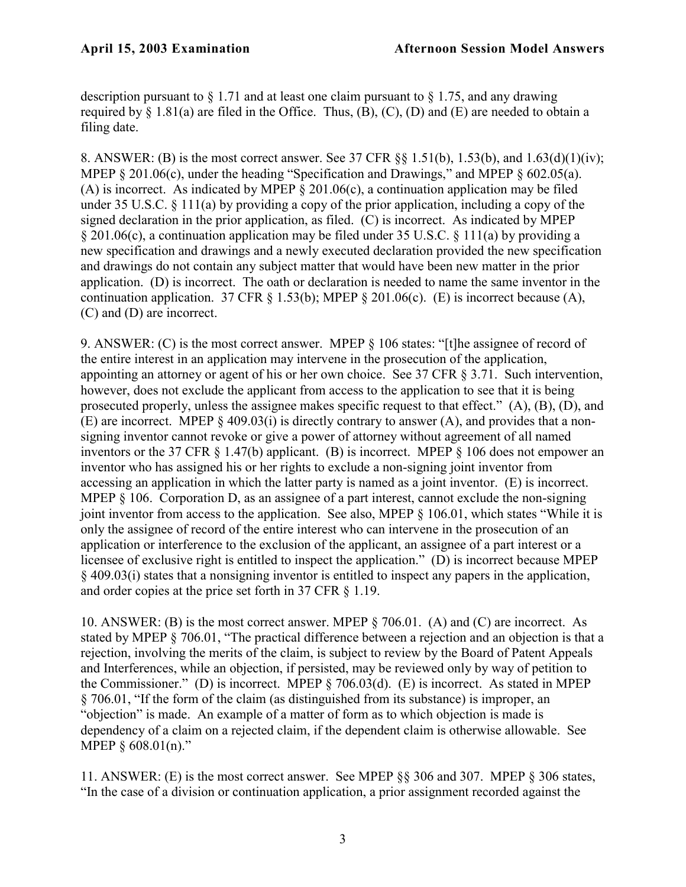description pursuant to  $\S 1.71$  and at least one claim pursuant to  $\S 1.75$ , and any drawing required by  $\S$  1.81(a) are filed in the Office. Thus, (B), (C), (D) and (E) are needed to obtain a filing date.

8. ANSWER: (B) is the most correct answer. See 37 CFR §§ 1.51(b), 1.53(b), and 1.63(d)(1)(iv); MPEP § 201.06(c), under the heading "Specification and Drawings," and MPEP § 602.05(a). (A) is incorrect. As indicated by MPEP  $\S 201.06(c)$ , a continuation application may be filed under 35 U.S.C. § 111(a) by providing a copy of the prior application, including a copy of the signed declaration in the prior application, as filed. (C) is incorrect. As indicated by MPEP § 201.06(c), a continuation application may be filed under 35 U.S.C. § 111(a) by providing a new specification and drawings and a newly executed declaration provided the new specification and drawings do not contain any subject matter that would have been new matter in the prior application. (D) is incorrect. The oath or declaration is needed to name the same inventor in the continuation application. 37 CFR  $\S$  1.53(b); MPEP  $\S$  201.06(c). (E) is incorrect because (A), (C) and (D) are incorrect.

9. ANSWER: (C) is the most correct answer. MPEP § 106 states: "[t]he assignee of record of the entire interest in an application may intervene in the prosecution of the application, appointing an attorney or agent of his or her own choice. See 37 CFR § 3.71. Such intervention, however, does not exclude the applicant from access to the application to see that it is being prosecuted properly, unless the assignee makes specific request to that effect." (A), (B), (D), and (E) are incorrect. MPEP § 409.03(i) is directly contrary to answer (A), and provides that a nonsigning inventor cannot revoke or give a power of attorney without agreement of all named inventors or the 37 CFR § 1.47(b) applicant. (B) is incorrect. MPEP § 106 does not empower an inventor who has assigned his or her rights to exclude a non-signing joint inventor from accessing an application in which the latter party is named as a joint inventor. (E) is incorrect. MPEP § 106. Corporation D, as an assignee of a part interest, cannot exclude the non-signing joint inventor from access to the application. See also, MPEP § 106.01, which states "While it is only the assignee of record of the entire interest who can intervene in the prosecution of an application or interference to the exclusion of the applicant, an assignee of a part interest or a licensee of exclusive right is entitled to inspect the application." (D) is incorrect because MPEP § 409.03(i) states that a nonsigning inventor is entitled to inspect any papers in the application, and order copies at the price set forth in 37 CFR § 1.19.

10. ANSWER: (B) is the most correct answer. MPEP § 706.01. (A) and (C) are incorrect. As stated by MPEP § 706.01, "The practical difference between a rejection and an objection is that a rejection, involving the merits of the claim, is subject to review by the Board of Patent Appeals and Interferences, while an objection, if persisted, may be reviewed only by way of petition to the Commissioner." (D) is incorrect. MPEP § 706.03(d). (E) is incorrect. As stated in MPEP § 706.01, "If the form of the claim (as distinguished from its substance) is improper, an "objection" is made. An example of a matter of form as to which objection is made is dependency of a claim on a rejected claim, if the dependent claim is otherwise allowable. See MPEP § 608.01(n)."

11. ANSWER: (E) is the most correct answer. See MPEP §§ 306 and 307. MPEP § 306 states, "In the case of a division or continuation application, a prior assignment recorded against the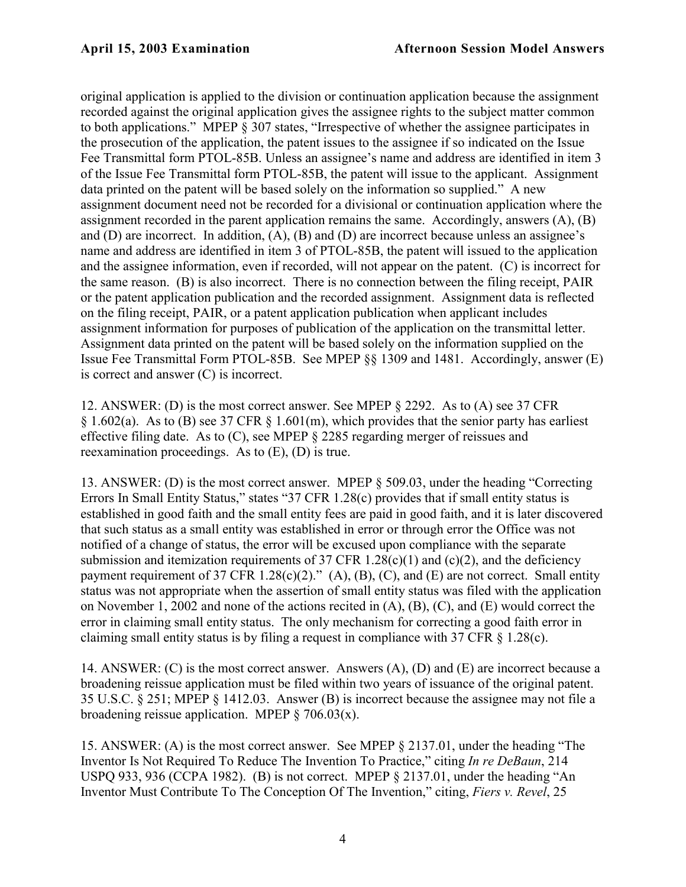original application is applied to the division or continuation application because the assignment recorded against the original application gives the assignee rights to the subject matter common to both applications." MPEP § 307 states, "Irrespective of whether the assignee participates in the prosecution of the application, the patent issues to the assignee if so indicated on the Issue Fee Transmittal form PTOL-85B. Unless an assignee's name and address are identified in item 3 of the Issue Fee Transmittal form PTOL-85B, the patent will issue to the applicant. Assignment data printed on the patent will be based solely on the information so supplied." A new assignment document need not be recorded for a divisional or continuation application where the assignment recorded in the parent application remains the same. Accordingly, answers (A), (B) and (D) are incorrect. In addition, (A), (B) and (D) are incorrect because unless an assignee's name and address are identified in item 3 of PTOL-85B, the patent will issued to the application and the assignee information, even if recorded, will not appear on the patent. (C) is incorrect for the same reason. (B) is also incorrect. There is no connection between the filing receipt, PAIR or the patent application publication and the recorded assignment. Assignment data is reflected on the filing receipt, PAIR, or a patent application publication when applicant includes assignment information for purposes of publication of the application on the transmittal letter. Assignment data printed on the patent will be based solely on the information supplied on the Issue Fee Transmittal Form PTOL-85B. See MPEP §§ 1309 and 1481. Accordingly, answer (E) is correct and answer (C) is incorrect.

12. ANSWER: (D) is the most correct answer. See MPEP § 2292. As to (A) see 37 CFR § 1.602(a). As to (B) see 37 CFR § 1.601(m), which provides that the senior party has earliest effective filing date. As to (C), see MPEP § 2285 regarding merger of reissues and reexamination proceedings. As to (E), (D) is true.

13. ANSWER: (D) is the most correct answer. MPEP § 509.03, under the heading "Correcting Errors In Small Entity Status," states "37 CFR 1.28(c) provides that if small entity status is established in good faith and the small entity fees are paid in good faith, and it is later discovered that such status as a small entity was established in error or through error the Office was not notified of a change of status, the error will be excused upon compliance with the separate submission and itemization requirements of 37 CFR 1.28(c)(1) and (c)(2), and the deficiency payment requirement of 37 CFR 1.28(c)(2)." (A), (B), (C), and (E) are not correct. Small entity status was not appropriate when the assertion of small entity status was filed with the application on November 1, 2002 and none of the actions recited in (A), (B), (C), and (E) would correct the error in claiming small entity status. The only mechanism for correcting a good faith error in claiming small entity status is by filing a request in compliance with 37 CFR § 1.28(c).

14. ANSWER: (C) is the most correct answer. Answers (A), (D) and (E) are incorrect because a broadening reissue application must be filed within two years of issuance of the original patent. 35 U.S.C. § 251; MPEP § 1412.03. Answer (B) is incorrect because the assignee may not file a broadening reissue application. MPEP  $\S$  706.03(x).

15. ANSWER: (A) is the most correct answer. See MPEP § 2137.01, under the heading "The Inventor Is Not Required To Reduce The Invention To Practice," citing *In re DeBaun*, 214 USPQ 933, 936 (CCPA 1982). (B) is not correct. MPEP § 2137.01, under the heading "An Inventor Must Contribute To The Conception Of The Invention," citing, *Fiers v. Revel*, 25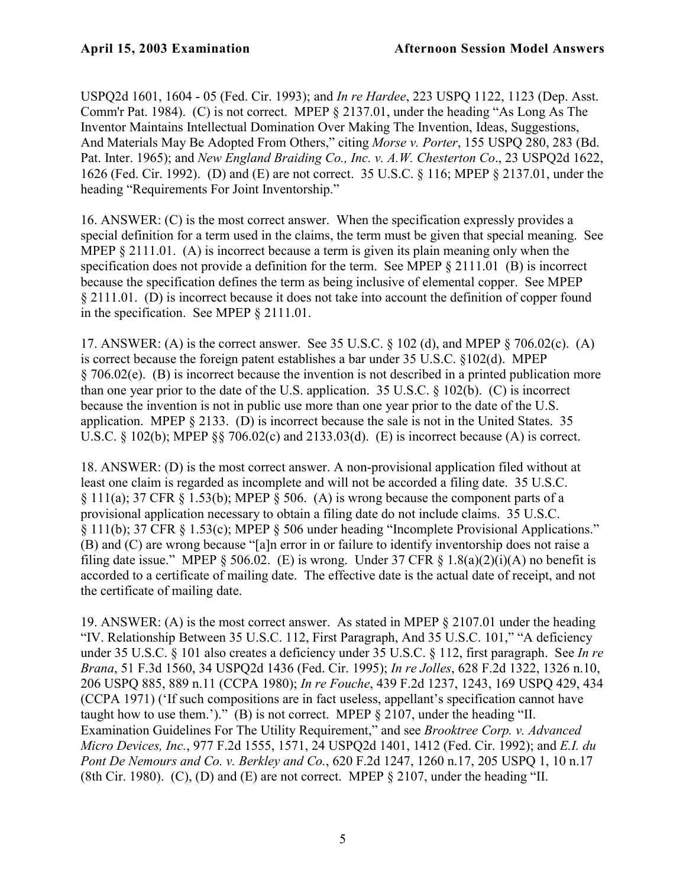USPQ2d 1601, 1604 - 05 (Fed. Cir. 1993); and *In re Hardee*, 223 USPQ 1122, 1123 (Dep. Asst. Comm'r Pat. 1984). (C) is not correct. MPEP § 2137.01, under the heading "As Long As The Inventor Maintains Intellectual Domination Over Making The Invention, Ideas, Suggestions, And Materials May Be Adopted From Others," citing *Morse v. Porter*, 155 USPQ 280, 283 (Bd. Pat. Inter. 1965); and *New England Braiding Co., Inc. v. A.W. Chesterton Co*., 23 USPQ2d 1622, 1626 (Fed. Cir. 1992). (D) and (E) are not correct. 35 U.S.C. § 116; MPEP § 2137.01, under the heading "Requirements For Joint Inventorship."

16. ANSWER: (C) is the most correct answer. When the specification expressly provides a special definition for a term used in the claims, the term must be given that special meaning. See MPEP  $\S 2111.01$ . (A) is incorrect because a term is given its plain meaning only when the specification does not provide a definition for the term. See MPEP  $\S$  2111.01 (B) is incorrect because the specification defines the term as being inclusive of elemental copper. See MPEP § 2111.01. (D) is incorrect because it does not take into account the definition of copper found in the specification. See MPEP § 2111.01.

17. ANSWER: (A) is the correct answer. See 35 U.S.C. § 102 (d), and MPEP § 706.02(c). (A) is correct because the foreign patent establishes a bar under 35 U.S.C. §102(d). MPEP § 706.02(e). (B) is incorrect because the invention is not described in a printed publication more than one year prior to the date of the U.S. application. 35 U.S.C. § 102(b). (C) is incorrect because the invention is not in public use more than one year prior to the date of the U.S. application. MPEP § 2133. (D) is incorrect because the sale is not in the United States. 35 U.S.C.  $\S$  102(b); MPEP  $\S$  $\S$  706.02(c) and 2133.03(d). (E) is incorrect because (A) is correct.

18. ANSWER: (D) is the most correct answer. A non-provisional application filed without at least one claim is regarded as incomplete and will not be accorded a filing date. 35 U.S.C. § 111(a); 37 CFR § 1.53(b); MPEP § 506. (A) is wrong because the component parts of a provisional application necessary to obtain a filing date do not include claims. 35 U.S.C. § 111(b); 37 CFR § 1.53(c); MPEP § 506 under heading "Incomplete Provisional Applications." (B) and (C) are wrong because "[a]n error in or failure to identify inventorship does not raise a filing date issue." MPEP  $\S 506.02$ . (E) is wrong. Under 37 CFR  $\S 1.8(a)(2)(i)(A)$  no benefit is accorded to a certificate of mailing date. The effective date is the actual date of receipt, and not the certificate of mailing date.

19. ANSWER: (A) is the most correct answer. As stated in MPEP § 2107.01 under the heading "IV. Relationship Between 35 U.S.C. 112, First Paragraph, And 35 U.S.C. 101," "A deficiency under 35 U.S.C. § 101 also creates a deficiency under 35 U.S.C. § 112, first paragraph. See *In re Brana*, 51 F.3d 1560, 34 USPQ2d 1436 (Fed. Cir. 1995); *In re Jolles*, 628 F.2d 1322, 1326 n.10, 206 USPQ 885, 889 n.11 (CCPA 1980); *In re Fouche*, 439 F.2d 1237, 1243, 169 USPQ 429, 434 (CCPA 1971) ('If such compositions are in fact useless, appellant's specification cannot have taught how to use them.')." (B) is not correct. MPEP § 2107, under the heading "II. Examination Guidelines For The Utility Requirement," and see *Brooktree Corp. v. Advanced Micro Devices, Inc.*, 977 F.2d 1555, 1571, 24 USPQ2d 1401, 1412 (Fed. Cir. 1992); and *E.I. du Pont De Nemours and Co. v. Berkley and Co.*, 620 F.2d 1247, 1260 n.17, 205 USPQ 1, 10 n.17 (8th Cir. 1980). (C), (D) and (E) are not correct. MPEP  $\S 2107$ , under the heading "II.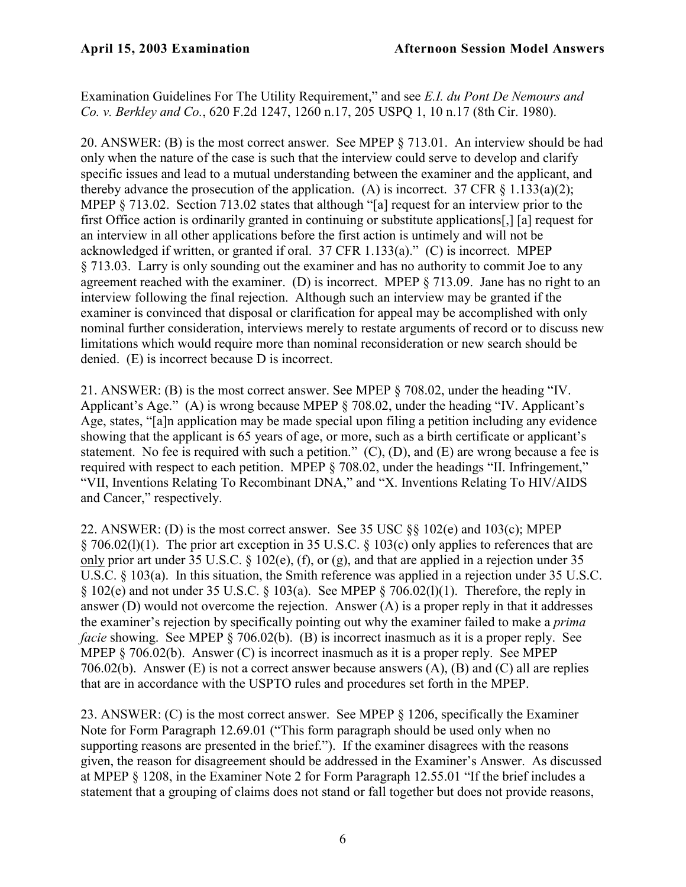Examination Guidelines For The Utility Requirement," and see *E.I. du Pont De Nemours and Co. v. Berkley and Co.*, 620 F.2d 1247, 1260 n.17, 205 USPQ 1, 10 n.17 (8th Cir. 1980).

20. ANSWER: (B) is the most correct answer. See MPEP § 713.01. An interview should be had only when the nature of the case is such that the interview could serve to develop and clarify specific issues and lead to a mutual understanding between the examiner and the applicant, and thereby advance the prosecution of the application. (A) is incorrect. 37 CFR  $\&$  1.133(a)(2); MPEP § 713.02. Section 713.02 states that although "[a] request for an interview prior to the first Office action is ordinarily granted in continuing or substitute applications[,] [a] request for an interview in all other applications before the first action is untimely and will not be acknowledged if written, or granted if oral. 37 CFR 1.133(a)." (C) is incorrect. MPEP § 713.03. Larry is only sounding out the examiner and has no authority to commit Joe to any agreement reached with the examiner. (D) is incorrect. MPEP § 713.09. Jane has no right to an interview following the final rejection. Although such an interview may be granted if the examiner is convinced that disposal or clarification for appeal may be accomplished with only nominal further consideration, interviews merely to restate arguments of record or to discuss new limitations which would require more than nominal reconsideration or new search should be denied. (E) is incorrect because D is incorrect.

21. ANSWER: (B) is the most correct answer. See MPEP § 708.02, under the heading "IV. Applicant's Age." (A) is wrong because MPEP § 708.02, under the heading "IV. Applicant's Age, states, "[a]n application may be made special upon filing a petition including any evidence showing that the applicant is 65 years of age, or more, such as a birth certificate or applicant's statement. No fee is required with such a petition." (C), (D), and (E) are wrong because a fee is required with respect to each petition. MPEP § 708.02, under the headings "II. Infringement," "VII, Inventions Relating To Recombinant DNA," and "X. Inventions Relating To HIV/AIDS and Cancer," respectively.

22. ANSWER: (D) is the most correct answer. See 35 USC §§ 102(e) and 103(c); MPEP § 706.02(l)(1). The prior art exception in 35 U.S.C. § 103(c) only applies to references that are only prior art under 35 U.S.C. § 102(e), (f), or (g), and that are applied in a rejection under 35 U.S.C. § 103(a). In this situation, the Smith reference was applied in a rejection under 35 U.S.C.  $\S 102(e)$  and not under 35 U.S.C.  $\S 103(a)$ . See MPEP  $\S 706.02(1)(1)$ . Therefore, the reply in answer (D) would not overcome the rejection. Answer (A) is a proper reply in that it addresses the examiner's rejection by specifically pointing out why the examiner failed to make a *prima facie* showing. See MPEP § 706.02(b). (B) is incorrect inasmuch as it is a proper reply. See MPEP § 706.02(b). Answer (C) is incorrect inasmuch as it is a proper reply. See MPEP 706.02(b). Answer (E) is not a correct answer because answers  $(A)$ ,  $(B)$  and  $(C)$  all are replies that are in accordance with the USPTO rules and procedures set forth in the MPEP.

23. ANSWER: (C) is the most correct answer. See MPEP § 1206, specifically the Examiner Note for Form Paragraph 12.69.01 ("This form paragraph should be used only when no supporting reasons are presented in the brief."). If the examiner disagrees with the reasons given, the reason for disagreement should be addressed in the Examiner's Answer. As discussed at MPEP § 1208, in the Examiner Note 2 for Form Paragraph 12.55.01 "If the brief includes a statement that a grouping of claims does not stand or fall together but does not provide reasons,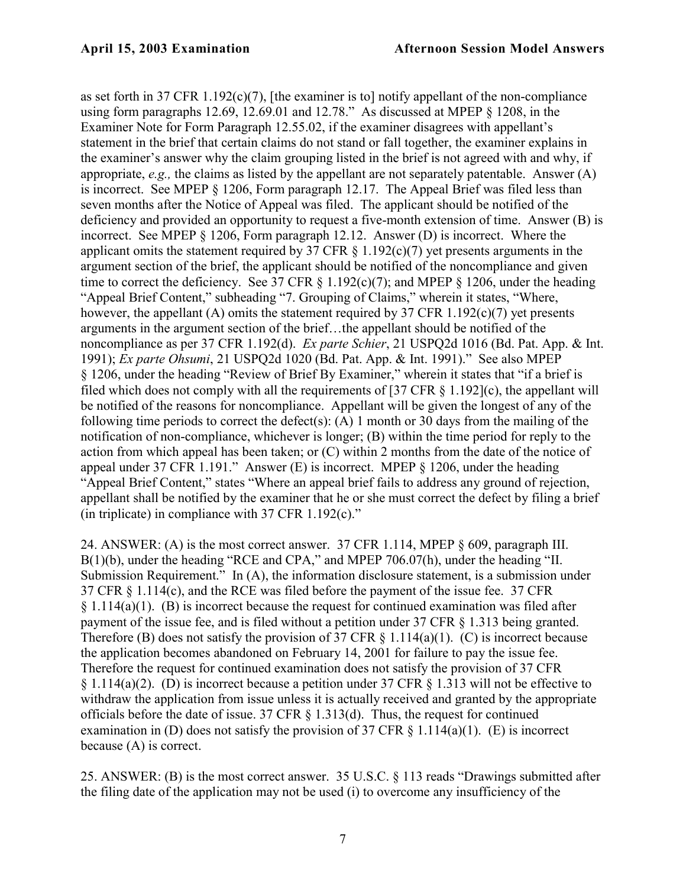as set forth in 37 CFR 1.192(c)(7), [the examiner is to] notify appellant of the non-compliance using form paragraphs 12.69, 12.69.01 and 12.78." As discussed at MPEP § 1208, in the Examiner Note for Form Paragraph 12.55.02, if the examiner disagrees with appellant's statement in the brief that certain claims do not stand or fall together, the examiner explains in the examiner's answer why the claim grouping listed in the brief is not agreed with and why, if appropriate, *e.g.,* the claims as listed by the appellant are not separately patentable. Answer (A) is incorrect. See MPEP § 1206, Form paragraph 12.17. The Appeal Brief was filed less than seven months after the Notice of Appeal was filed. The applicant should be notified of the deficiency and provided an opportunity to request a five-month extension of time. Answer (B) is incorrect. See MPEP § 1206, Form paragraph 12.12. Answer (D) is incorrect. Where the applicant omits the statement required by 37 CFR  $\S$  1.192(c)(7) yet presents arguments in the argument section of the brief, the applicant should be notified of the noncompliance and given time to correct the deficiency. See 37 CFR  $\S$  1.192(c)(7); and MPEP  $\S$  1206, under the heading "Appeal Brief Content," subheading "7. Grouping of Claims," wherein it states, "Where, however, the appellant (A) omits the statement required by 37 CFR 1.192(c)(7) yet presents arguments in the argument section of the brief…the appellant should be notified of the noncompliance as per 37 CFR 1.192(d). *Ex parte Schier*, 21 USPQ2d 1016 (Bd. Pat. App. & Int. 1991); *Ex parte Ohsumi*, 21 USPQ2d 1020 (Bd. Pat. App. & Int. 1991)." See also MPEP § 1206, under the heading "Review of Brief By Examiner," wherein it states that "if a brief is filed which does not comply with all the requirements of  $[37 \text{ CFR } \text{S } 1.192]$ (c), the appellant will be notified of the reasons for noncompliance. Appellant will be given the longest of any of the following time periods to correct the defect(s): (A) 1 month or 30 days from the mailing of the notification of non-compliance, whichever is longer; (B) within the time period for reply to the action from which appeal has been taken; or (C) within 2 months from the date of the notice of appeal under 37 CFR 1.191." Answer (E) is incorrect. MPEP § 1206, under the heading "Appeal Brief Content," states "Where an appeal brief fails to address any ground of rejection, appellant shall be notified by the examiner that he or she must correct the defect by filing a brief (in triplicate) in compliance with  $37$  CFR 1.192(c)."

24. ANSWER: (A) is the most correct answer. 37 CFR 1.114, MPEP § 609, paragraph III. B(1)(b), under the heading "RCE and CPA," and MPEP 706.07(h), under the heading "II. Submission Requirement." In (A), the information disclosure statement, is a submission under 37 CFR § 1.114(c), and the RCE was filed before the payment of the issue fee. 37 CFR  $\S 1.114(a)(1)$ . (B) is incorrect because the request for continued examination was filed after payment of the issue fee, and is filed without a petition under 37 CFR § 1.313 being granted. Therefore (B) does not satisfy the provision of 37 CFR  $\S$  1.114(a)(1). (C) is incorrect because the application becomes abandoned on February 14, 2001 for failure to pay the issue fee. Therefore the request for continued examination does not satisfy the provision of 37 CFR § 1.114(a)(2). (D) is incorrect because a petition under 37 CFR § 1.313 will not be effective to withdraw the application from issue unless it is actually received and granted by the appropriate officials before the date of issue. 37 CFR § 1.313(d). Thus, the request for continued examination in (D) does not satisfy the provision of 37 CFR  $\S$  1.114(a)(1). (E) is incorrect because (A) is correct.

25. ANSWER: (B) is the most correct answer. 35 U.S.C. § 113 reads "Drawings submitted after the filing date of the application may not be used (i) to overcome any insufficiency of the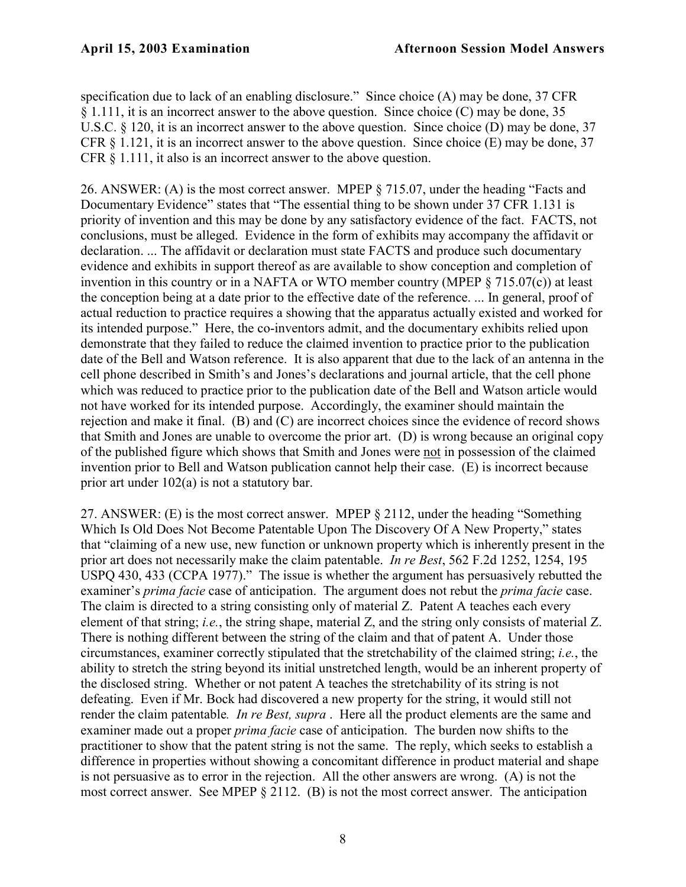specification due to lack of an enabling disclosure." Since choice (A) may be done, 37 CFR § 1.111, it is an incorrect answer to the above question. Since choice (C) may be done, 35 U.S.C. § 120, it is an incorrect answer to the above question. Since choice (D) may be done, 37 CFR § 1.121, it is an incorrect answer to the above question. Since choice (E) may be done, 37 CFR § 1.111, it also is an incorrect answer to the above question.

26. ANSWER: (A) is the most correct answer. MPEP § 715.07, under the heading "Facts and Documentary Evidence" states that "The essential thing to be shown under 37 CFR 1.131 is priority of invention and this may be done by any satisfactory evidence of the fact. FACTS, not conclusions, must be alleged. Evidence in the form of exhibits may accompany the affidavit or declaration. ... The affidavit or declaration must state FACTS and produce such documentary evidence and exhibits in support thereof as are available to show conception and completion of invention in this country or in a NAFTA or WTO member country (MPEP § 715.07(c)) at least the conception being at a date prior to the effective date of the reference. ... In general, proof of actual reduction to practice requires a showing that the apparatus actually existed and worked for its intended purpose." Here, the co-inventors admit, and the documentary exhibits relied upon demonstrate that they failed to reduce the claimed invention to practice prior to the publication date of the Bell and Watson reference. It is also apparent that due to the lack of an antenna in the cell phone described in Smith's and Jones's declarations and journal article, that the cell phone which was reduced to practice prior to the publication date of the Bell and Watson article would not have worked for its intended purpose. Accordingly, the examiner should maintain the rejection and make it final. (B) and (C) are incorrect choices since the evidence of record shows that Smith and Jones are unable to overcome the prior art. (D) is wrong because an original copy of the published figure which shows that Smith and Jones were not in possession of the claimed invention prior to Bell and Watson publication cannot help their case. (E) is incorrect because prior art under 102(a) is not a statutory bar.

27. ANSWER: (E) is the most correct answer. MPEP § 2112, under the heading "Something Which Is Old Does Not Become Patentable Upon The Discovery Of A New Property," states that "claiming of a new use, new function or unknown property which is inherently present in the prior art does not necessarily make the claim patentable. *In re Best*, 562 F.2d 1252, 1254, 195 USPQ 430, 433 (CCPA 1977)." The issue is whether the argument has persuasively rebutted the examiner's *prima facie* case of anticipation. The argument does not rebut the *prima facie* case. The claim is directed to a string consisting only of material Z. Patent A teaches each every element of that string; *i.e.*, the string shape, material Z, and the string only consists of material Z. There is nothing different between the string of the claim and that of patent A. Under those circumstances, examiner correctly stipulated that the stretchability of the claimed string; *i.e.*, the ability to stretch the string beyond its initial unstretched length, would be an inherent property of the disclosed string. Whether or not patent A teaches the stretchability of its string is not defeating. Even if Mr. Bock had discovered a new property for the string, it would still not render the claim patentable*. In re Best, supra* . Here all the product elements are the same and examiner made out a proper *prima facie* case of anticipation. The burden now shifts to the practitioner to show that the patent string is not the same. The reply, which seeks to establish a difference in properties without showing a concomitant difference in product material and shape is not persuasive as to error in the rejection. All the other answers are wrong. (A) is not the most correct answer. See MPEP § 2112. (B) is not the most correct answer. The anticipation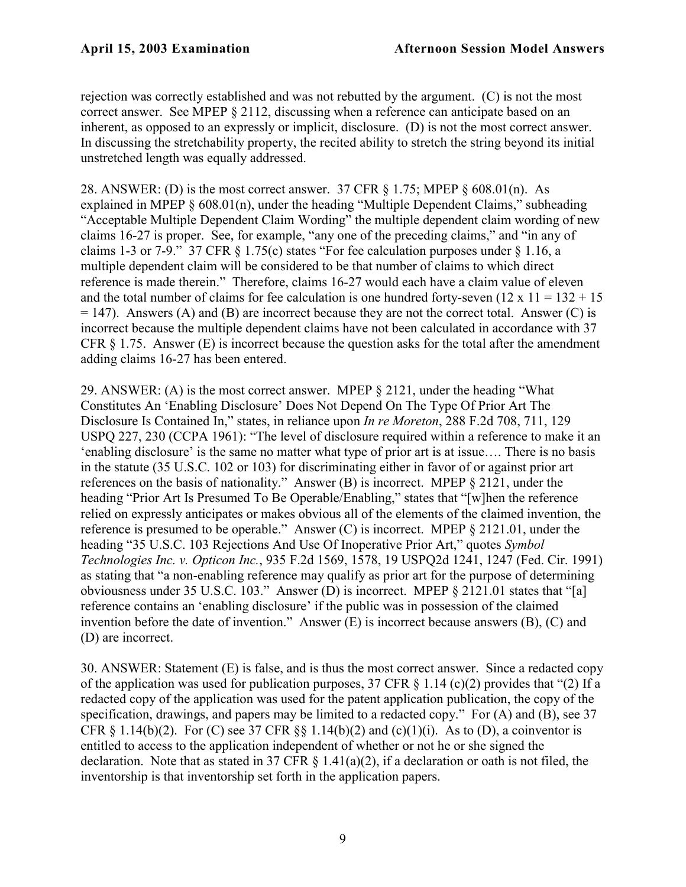rejection was correctly established and was not rebutted by the argument. (C) is not the most correct answer. See MPEP § 2112, discussing when a reference can anticipate based on an inherent, as opposed to an expressly or implicit, disclosure. (D) is not the most correct answer. In discussing the stretchability property, the recited ability to stretch the string beyond its initial unstretched length was equally addressed.

28. ANSWER: (D) is the most correct answer. 37 CFR § 1.75; MPEP § 608.01(n). As explained in MPEP § 608.01(n), under the heading "Multiple Dependent Claims," subheading "Acceptable Multiple Dependent Claim Wording" the multiple dependent claim wording of new claims 16-27 is proper. See, for example, "any one of the preceding claims," and "in any of claims 1-3 or 7-9." 37 CFR § 1.75(c) states "For fee calculation purposes under § 1.16, a multiple dependent claim will be considered to be that number of claims to which direct reference is made therein." Therefore, claims 16-27 would each have a claim value of eleven and the total number of claims for fee calculation is one hundred forty-seven  $(12 \times 11 = 132 + 15)$  $= 147$ ). Answers (A) and (B) are incorrect because they are not the correct total. Answer (C) is incorrect because the multiple dependent claims have not been calculated in accordance with 37 CFR § 1.75. Answer (E) is incorrect because the question asks for the total after the amendment adding claims 16-27 has been entered.

29. ANSWER: (A) is the most correct answer. MPEP § 2121, under the heading "What Constitutes An 'Enabling Disclosure' Does Not Depend On The Type Of Prior Art The Disclosure Is Contained In," states, in reliance upon *In re Moreton*, 288 F.2d 708, 711, 129 USPQ 227, 230 (CCPA 1961): "The level of disclosure required within a reference to make it an 'enabling disclosure' is the same no matter what type of prior art is at issue…. There is no basis in the statute (35 U.S.C. 102 or 103) for discriminating either in favor of or against prior art references on the basis of nationality." Answer (B) is incorrect. MPEP § 2121, under the heading "Prior Art Is Presumed To Be Operable/Enabling," states that "[w]hen the reference relied on expressly anticipates or makes obvious all of the elements of the claimed invention, the reference is presumed to be operable." Answer (C) is incorrect. MPEP § 2121.01, under the heading "35 U.S.C. 103 Rejections And Use Of Inoperative Prior Art," quotes *Symbol Technologies Inc. v. Opticon Inc.*, 935 F.2d 1569, 1578, 19 USPQ2d 1241, 1247 (Fed. Cir. 1991) as stating that "a non-enabling reference may qualify as prior art for the purpose of determining obviousness under 35 U.S.C. 103." Answer (D) is incorrect. MPEP § 2121.01 states that "[a] reference contains an 'enabling disclosure' if the public was in possession of the claimed invention before the date of invention." Answer (E) is incorrect because answers (B), (C) and (D) are incorrect.

30. ANSWER: Statement (E) is false, and is thus the most correct answer. Since a redacted copy of the application was used for publication purposes, 37 CFR  $\S$  1.14 (c)(2) provides that "(2) If a redacted copy of the application was used for the patent application publication, the copy of the specification, drawings, and papers may be limited to a redacted copy." For (A) and (B), see 37 CFR § 1.14(b)(2). For (C) see 37 CFR §§ 1.14(b)(2) and (c)(1)(i). As to (D), a coinventor is entitled to access to the application independent of whether or not he or she signed the declaration. Note that as stated in 37 CFR  $\S$  1.41(a)(2), if a declaration or oath is not filed, the inventorship is that inventorship set forth in the application papers.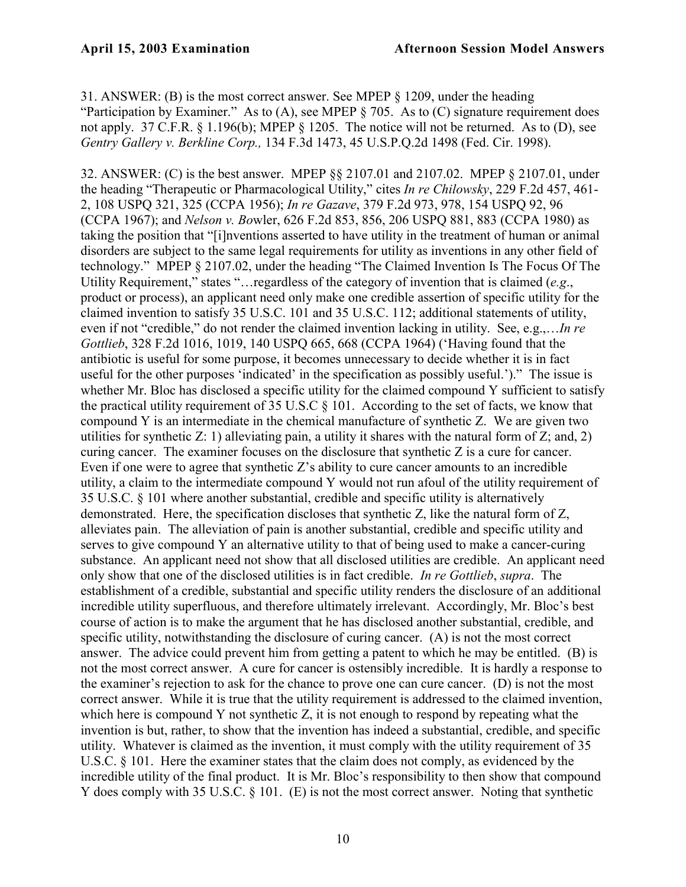31. ANSWER: (B) is the most correct answer. See MPEP § 1209, under the heading "Participation by Examiner." As to (A), see MPEP § 705. As to (C) signature requirement does not apply. 37 C.F.R. § 1.196(b); MPEP § 1205. The notice will not be returned. As to (D), see *Gentry Gallery v. Berkline Corp.,* 134 F.3d 1473, 45 U.S.P.Q.2d 1498 (Fed. Cir. 1998).

32. ANSWER: (C) is the best answer. MPEP §§ 2107.01 and 2107.02. MPEP § 2107.01, under the heading "Therapeutic or Pharmacological Utility," cites *In re Chilowsky*, 229 F.2d 457, 461- 2, 108 USPQ 321, 325 (CCPA 1956); *In re Gazave*, 379 F.2d 973, 978, 154 USPQ 92, 96 (CCPA 1967); and *Nelson v. Bo*wler, 626 F.2d 853, 856, 206 USPQ 881, 883 (CCPA 1980) as taking the position that "[i]nventions asserted to have utility in the treatment of human or animal disorders are subject to the same legal requirements for utility as inventions in any other field of technology." MPEP § 2107.02, under the heading "The Claimed Invention Is The Focus Of The Utility Requirement," states "…regardless of the category of invention that is claimed (*e.g*., product or process), an applicant need only make one credible assertion of specific utility for the claimed invention to satisfy 35 U.S.C. 101 and 35 U.S.C. 112; additional statements of utility, even if not "credible," do not render the claimed invention lacking in utility. See, e.g.,…*In re Gottlieb*, 328 F.2d 1016, 1019, 140 USPQ 665, 668 (CCPA 1964) ('Having found that the antibiotic is useful for some purpose, it becomes unnecessary to decide whether it is in fact useful for the other purposes 'indicated' in the specification as possibly useful.')." The issue is whether Mr. Bloc has disclosed a specific utility for the claimed compound Y sufficient to satisfy the practical utility requirement of 35 U.S.C § 101. According to the set of facts, we know that compound Y is an intermediate in the chemical manufacture of synthetic Z. We are given two utilities for synthetic Z: 1) alleviating pain, a utility it shares with the natural form of Z; and, 2) curing cancer. The examiner focuses on the disclosure that synthetic Z is a cure for cancer. Even if one were to agree that synthetic Z's ability to cure cancer amounts to an incredible utility, a claim to the intermediate compound Y would not run afoul of the utility requirement of 35 U.S.C. § 101 where another substantial, credible and specific utility is alternatively demonstrated. Here, the specification discloses that synthetic Z, like the natural form of Z, alleviates pain. The alleviation of pain is another substantial, credible and specific utility and serves to give compound Y an alternative utility to that of being used to make a cancer-curing substance. An applicant need not show that all disclosed utilities are credible. An applicant need only show that one of the disclosed utilities is in fact credible. *In re Gottlieb*, *supra*. The establishment of a credible, substantial and specific utility renders the disclosure of an additional incredible utility superfluous, and therefore ultimately irrelevant. Accordingly, Mr. Bloc's best course of action is to make the argument that he has disclosed another substantial, credible, and specific utility, notwithstanding the disclosure of curing cancer. (A) is not the most correct answer. The advice could prevent him from getting a patent to which he may be entitled. (B) is not the most correct answer. A cure for cancer is ostensibly incredible. It is hardly a response to the examiner's rejection to ask for the chance to prove one can cure cancer. (D) is not the most correct answer. While it is true that the utility requirement is addressed to the claimed invention, which here is compound Y not synthetic Z, it is not enough to respond by repeating what the invention is but, rather, to show that the invention has indeed a substantial, credible, and specific utility. Whatever is claimed as the invention, it must comply with the utility requirement of 35 U.S.C. § 101. Here the examiner states that the claim does not comply, as evidenced by the incredible utility of the final product. It is Mr. Bloc's responsibility to then show that compound Y does comply with 35 U.S.C. § 101. (E) is not the most correct answer. Noting that synthetic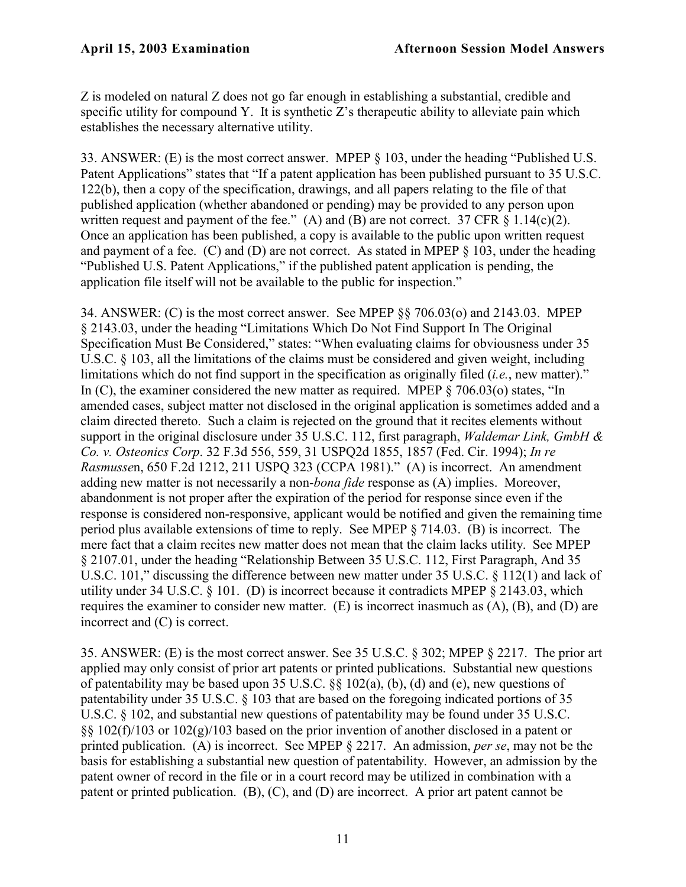Z is modeled on natural Z does not go far enough in establishing a substantial, credible and specific utility for compound Y. It is synthetic Z's therapeutic ability to alleviate pain which establishes the necessary alternative utility.

33. ANSWER: (E) is the most correct answer. MPEP § 103, under the heading "Published U.S. Patent Applications" states that "If a patent application has been published pursuant to 35 U.S.C. 122(b), then a copy of the specification, drawings, and all papers relating to the file of that published application (whether abandoned or pending) may be provided to any person upon written request and payment of the fee." (A) and (B) are not correct. 37 CFR  $\S 1.14(c)(2)$ . Once an application has been published, a copy is available to the public upon written request and payment of a fee.  $(C)$  and  $(D)$  are not correct. As stated in MPEP  $\S$  103, under the heading "Published U.S. Patent Applications," if the published patent application is pending, the application file itself will not be available to the public for inspection."

34. ANSWER: (C) is the most correct answer. See MPEP §§ 706.03(o) and 2143.03. MPEP § 2143.03, under the heading "Limitations Which Do Not Find Support In The Original Specification Must Be Considered," states: "When evaluating claims for obviousness under 35 U.S.C. § 103, all the limitations of the claims must be considered and given weight, including limitations which do not find support in the specification as originally filed (*i.e.*, new matter)." In (C), the examiner considered the new matter as required. MPEP § 706.03(o) states, "In amended cases, subject matter not disclosed in the original application is sometimes added and a claim directed thereto. Such a claim is rejected on the ground that it recites elements without support in the original disclosure under 35 U.S.C. 112, first paragraph, *Waldemar Link, GmbH & Co. v. Osteonics Corp*. 32 F.3d 556, 559, 31 USPQ2d 1855, 1857 (Fed. Cir. 1994); *In re Rasmusse*n, 650 F.2d 1212, 211 USPQ 323 (CCPA 1981)." (A) is incorrect. An amendment adding new matter is not necessarily a non-*bona fide* response as (A) implies. Moreover, abandonment is not proper after the expiration of the period for response since even if the response is considered non-responsive, applicant would be notified and given the remaining time period plus available extensions of time to reply. See MPEP § 714.03. (B) is incorrect. The mere fact that a claim recites new matter does not mean that the claim lacks utility. See MPEP § 2107.01, under the heading "Relationship Between 35 U.S.C. 112, First Paragraph, And 35 U.S.C. 101," discussing the difference between new matter under 35 U.S.C. § 112(1) and lack of utility under 34 U.S.C. § 101. (D) is incorrect because it contradicts MPEP § 2143.03, which requires the examiner to consider new matter. (E) is incorrect inasmuch as  $(A)$ ,  $(B)$ , and  $(D)$  are incorrect and (C) is correct.

35. ANSWER: (E) is the most correct answer. See 35 U.S.C. § 302; MPEP § 2217. The prior art applied may only consist of prior art patents or printed publications. Substantial new questions of patentability may be based upon 35 U.S.C. §§ 102(a), (b), (d) and (e), new questions of patentability under 35 U.S.C. § 103 that are based on the foregoing indicated portions of 35 U.S.C. § 102, and substantial new questions of patentability may be found under 35 U.S.C. §§ 102(f)/103 or 102(g)/103 based on the prior invention of another disclosed in a patent or printed publication. (A) is incorrect. See MPEP § 2217. An admission, *per se*, may not be the basis for establishing a substantial new question of patentability. However, an admission by the patent owner of record in the file or in a court record may be utilized in combination with a patent or printed publication. (B), (C), and (D) are incorrect. A prior art patent cannot be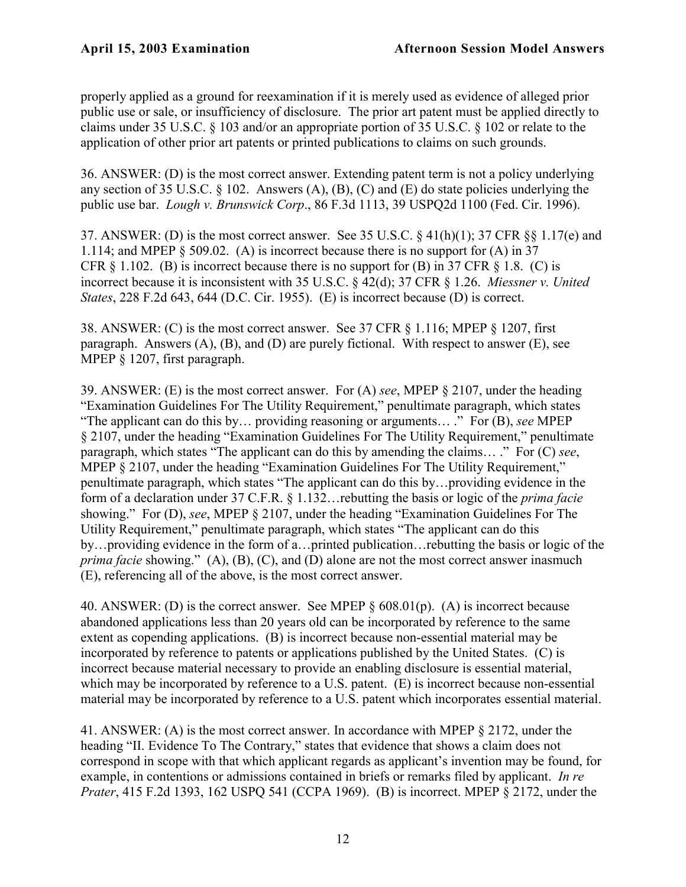properly applied as a ground for reexamination if it is merely used as evidence of alleged prior public use or sale, or insufficiency of disclosure. The prior art patent must be applied directly to claims under 35 U.S.C. § 103 and/or an appropriate portion of 35 U.S.C. § 102 or relate to the application of other prior art patents or printed publications to claims on such grounds.

36. ANSWER: (D) is the most correct answer. Extending patent term is not a policy underlying any section of 35 U.S.C.  $\S$  102. Answers (A), (B), (C) and (E) do state policies underlying the public use bar. *Lough v. Brunswick Corp*., 86 F.3d 1113, 39 USPQ2d 1100 (Fed. Cir. 1996).

37. ANSWER: (D) is the most correct answer. See 35 U.S.C. § 41(h)(1); 37 CFR §§ 1.17(e) and 1.114; and MPEP § 509.02. (A) is incorrect because there is no support for (A) in 37 CFR  $\S$  1.102. (B) is incorrect because there is no support for (B) in 37 CFR  $\S$  1.8. (C) is incorrect because it is inconsistent with 35 U.S.C. § 42(d); 37 CFR § 1.26. *Miessner v. United States*, 228 F.2d 643, 644 (D.C. Cir. 1955). (E) is incorrect because (D) is correct.

38. ANSWER: (C) is the most correct answer. See 37 CFR § 1.116; MPEP § 1207, first paragraph. Answers (A), (B), and (D) are purely fictional. With respect to answer (E), see MPEP § 1207, first paragraph.

39. ANSWER: (E) is the most correct answer. For (A) *see*, MPEP § 2107, under the heading "Examination Guidelines For The Utility Requirement," penultimate paragraph, which states "The applicant can do this by… providing reasoning or arguments… ." For (B), *see* MPEP § 2107, under the heading "Examination Guidelines For The Utility Requirement," penultimate paragraph, which states "The applicant can do this by amending the claims… ." For (C) *see*, MPEP § 2107, under the heading "Examination Guidelines For The Utility Requirement," penultimate paragraph, which states "The applicant can do this by…providing evidence in the form of a declaration under 37 C.F.R. § 1.132…rebutting the basis or logic of the *prima facie* showing." For (D), *see*, MPEP § 2107, under the heading "Examination Guidelines For The Utility Requirement," penultimate paragraph, which states "The applicant can do this by…providing evidence in the form of a…printed publication…rebutting the basis or logic of the *prima facie* showing." (A), (B), (C), and (D) alone are not the most correct answer inasmuch (E), referencing all of the above, is the most correct answer.

40. ANSWER: (D) is the correct answer. See MPEP § 608.01(p). (A) is incorrect because abandoned applications less than 20 years old can be incorporated by reference to the same extent as copending applications. (B) is incorrect because non-essential material may be incorporated by reference to patents or applications published by the United States. (C) is incorrect because material necessary to provide an enabling disclosure is essential material, which may be incorporated by reference to a U.S. patent. (E) is incorrect because non-essential material may be incorporated by reference to a U.S. patent which incorporates essential material.

41. ANSWER: (A) is the most correct answer. In accordance with MPEP § 2172, under the heading "II. Evidence To The Contrary," states that evidence that shows a claim does not correspond in scope with that which applicant regards as applicant's invention may be found, for example, in contentions or admissions contained in briefs or remarks filed by applicant. *In re Prater*, 415 F.2d 1393, 162 USPQ 541 (CCPA 1969). (B) is incorrect. MPEP § 2172, under the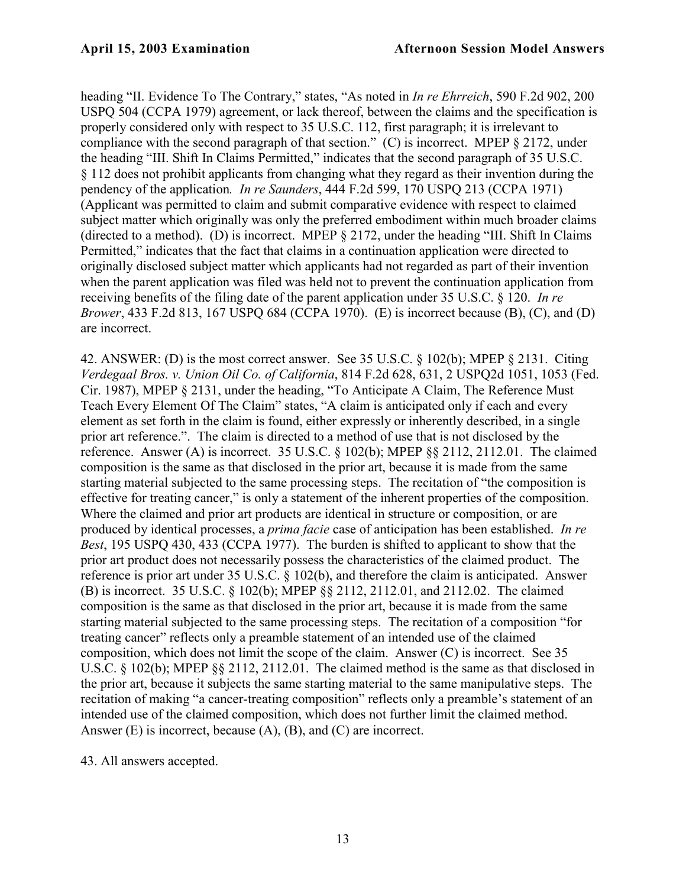heading "II. Evidence To The Contrary," states, "As noted in *In re Ehrreich*, 590 F.2d 902, 200 USPQ 504 (CCPA 1979) agreement, or lack thereof, between the claims and the specification is properly considered only with respect to 35 U.S.C. 112, first paragraph; it is irrelevant to compliance with the second paragraph of that section." (C) is incorrect. MPEP § 2172, under the heading "III. Shift In Claims Permitted," indicates that the second paragraph of 35 U.S.C. § 112 does not prohibit applicants from changing what they regard as their invention during the pendency of the application*. In re Saunders*, 444 F.2d 599, 170 USPQ 213 (CCPA 1971) (Applicant was permitted to claim and submit comparative evidence with respect to claimed subject matter which originally was only the preferred embodiment within much broader claims (directed to a method). (D) is incorrect. MPEP § 2172, under the heading "III. Shift In Claims Permitted," indicates that the fact that claims in a continuation application were directed to originally disclosed subject matter which applicants had not regarded as part of their invention when the parent application was filed was held not to prevent the continuation application from receiving benefits of the filing date of the parent application under 35 U.S.C. § 120. *In re Brower*, 433 F.2d 813, 167 USPQ 684 (CCPA 1970). (E) is incorrect because (B), (C), and (D) are incorrect.

42. ANSWER: (D) is the most correct answer. See 35 U.S.C. § 102(b); MPEP § 2131. Citing *Verdegaal Bros. v. Union Oil Co. of California*, 814 F.2d 628, 631, 2 USPQ2d 1051, 1053 (Fed. Cir. 1987), MPEP § 2131, under the heading, "To Anticipate A Claim, The Reference Must Teach Every Element Of The Claim" states, "A claim is anticipated only if each and every element as set forth in the claim is found, either expressly or inherently described, in a single prior art reference.". The claim is directed to a method of use that is not disclosed by the reference. Answer (A) is incorrect. 35 U.S.C.  $\S$  102(b); MPEP  $\S$ § 2112, 2112.01. The claimed composition is the same as that disclosed in the prior art, because it is made from the same starting material subjected to the same processing steps. The recitation of "the composition is effective for treating cancer," is only a statement of the inherent properties of the composition. Where the claimed and prior art products are identical in structure or composition, or are produced by identical processes, a *prima facie* case of anticipation has been established. *In re Best*, 195 USPQ 430, 433 (CCPA 1977). The burden is shifted to applicant to show that the prior art product does not necessarily possess the characteristics of the claimed product. The reference is prior art under 35 U.S.C. § 102(b), and therefore the claim is anticipated. Answer (B) is incorrect. 35 U.S.C. § 102(b); MPEP §§ 2112, 2112.01, and 2112.02. The claimed composition is the same as that disclosed in the prior art, because it is made from the same starting material subjected to the same processing steps. The recitation of a composition "for treating cancer" reflects only a preamble statement of an intended use of the claimed composition, which does not limit the scope of the claim. Answer (C) is incorrect. See 35 U.S.C. § 102(b); MPEP §§ 2112, 2112.01. The claimed method is the same as that disclosed in the prior art, because it subjects the same starting material to the same manipulative steps. The recitation of making "a cancer-treating composition" reflects only a preamble's statement of an intended use of the claimed composition, which does not further limit the claimed method. Answer (E) is incorrect, because (A), (B), and (C) are incorrect.

43. All answers accepted.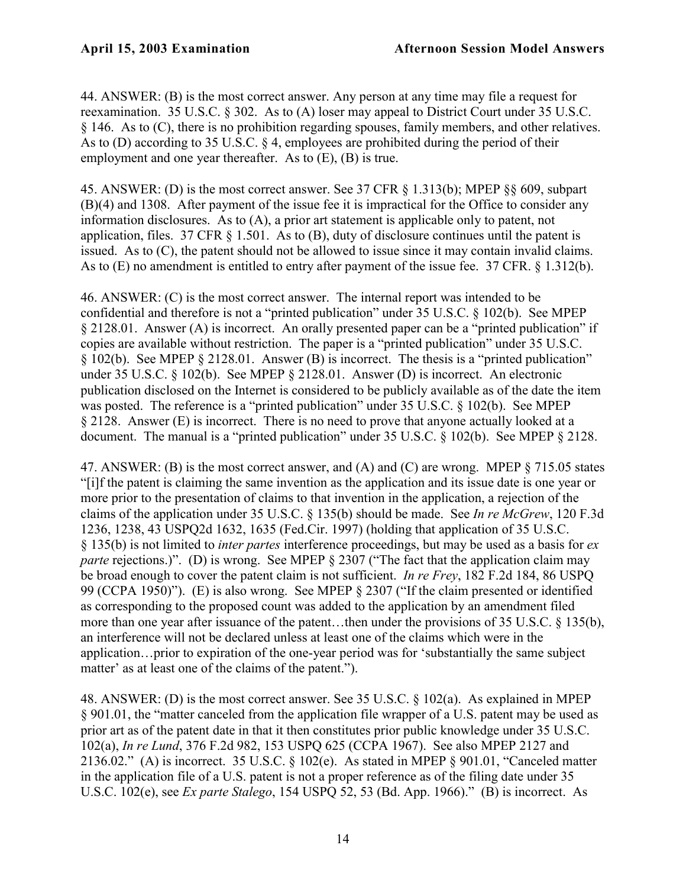44. ANSWER: (B) is the most correct answer. Any person at any time may file a request for reexamination. 35 U.S.C. § 302. As to (A) loser may appeal to District Court under 35 U.S.C. § 146. As to (C), there is no prohibition regarding spouses, family members, and other relatives. As to (D) according to 35 U.S.C. § 4, employees are prohibited during the period of their employment and one year thereafter. As to (E), (B) is true.

45. ANSWER: (D) is the most correct answer. See 37 CFR § 1.313(b); MPEP §§ 609, subpart (B)(4) and 1308. After payment of the issue fee it is impractical for the Office to consider any information disclosures. As to (A), a prior art statement is applicable only to patent, not application, files. 37 CFR § 1.501. As to (B), duty of disclosure continues until the patent is issued. As to (C), the patent should not be allowed to issue since it may contain invalid claims. As to (E) no amendment is entitled to entry after payment of the issue fee. 37 CFR. § 1.312(b).

46. ANSWER: (C) is the most correct answer. The internal report was intended to be confidential and therefore is not a "printed publication" under 35 U.S.C. § 102(b). See MPEP § 2128.01. Answer (A) is incorrect. An orally presented paper can be a "printed publication" if copies are available without restriction. The paper is a "printed publication" under 35 U.S.C. § 102(b). See MPEP § 2128.01. Answer (B) is incorrect. The thesis is a "printed publication" under 35 U.S.C. § 102(b). See MPEP § 2128.01. Answer (D) is incorrect. An electronic publication disclosed on the Internet is considered to be publicly available as of the date the item was posted. The reference is a "printed publication" under 35 U.S.C. § 102(b). See MPEP § 2128. Answer (E) is incorrect. There is no need to prove that anyone actually looked at a document. The manual is a "printed publication" under 35 U.S.C. § 102(b). See MPEP § 2128.

47. ANSWER: (B) is the most correct answer, and (A) and (C) are wrong. MPEP § 715.05 states "[i]f the patent is claiming the same invention as the application and its issue date is one year or more prior to the presentation of claims to that invention in the application, a rejection of the claims of the application under 35 U.S.C. § 135(b) should be made. See *In re McGrew*, 120 F.3d 1236, 1238, 43 USPQ2d 1632, 1635 (Fed.Cir. 1997) (holding that application of 35 U.S.C. § 135(b) is not limited to *inter partes* interference proceedings, but may be used as a basis for *ex parte* rejections.)". (D) is wrong. See MPEP § 2307 ("The fact that the application claim may be broad enough to cover the patent claim is not sufficient. *In re Frey*, 182 F.2d 184, 86 USPQ 99 (CCPA 1950)"). (E) is also wrong. See MPEP § 2307 ("If the claim presented or identified as corresponding to the proposed count was added to the application by an amendment filed more than one year after issuance of the patent...then under the provisions of 35 U.S.C. § 135(b), an interference will not be declared unless at least one of the claims which were in the application…prior to expiration of the one-year period was for 'substantially the same subject matter' as at least one of the claims of the patent.").

48. ANSWER: (D) is the most correct answer. See 35 U.S.C. § 102(a). As explained in MPEP § 901.01, the "matter canceled from the application file wrapper of a U.S. patent may be used as prior art as of the patent date in that it then constitutes prior public knowledge under 35 U.S.C. 102(a), *In re Lund*, 376 F.2d 982, 153 USPQ 625 (CCPA 1967). See also MPEP 2127 and 2136.02." (A) is incorrect. 35 U.S.C. § 102(e). As stated in MPEP § 901.01, "Canceled matter in the application file of a U.S. patent is not a proper reference as of the filing date under 35 U.S.C. 102(e), see *Ex parte Stalego*, 154 USPQ 52, 53 (Bd. App. 1966)." (B) is incorrect. As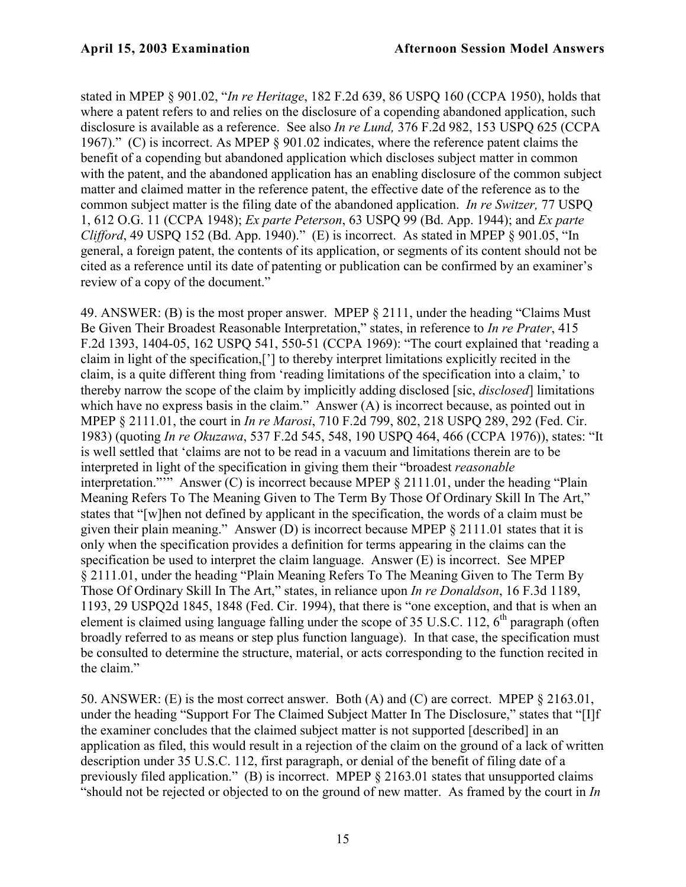stated in MPEP § 901.02, "*In re Heritage*, 182 F.2d 639, 86 USPQ 160 (CCPA 1950), holds that where a patent refers to and relies on the disclosure of a copending abandoned application, such disclosure is available as a reference. See also *In re Lund,* 376 F.2d 982, 153 USPQ 625 (CCPA 1967)." (C) is incorrect. As MPEP § 901.02 indicates, where the reference patent claims the benefit of a copending but abandoned application which discloses subject matter in common with the patent, and the abandoned application has an enabling disclosure of the common subject matter and claimed matter in the reference patent, the effective date of the reference as to the common subject matter is the filing date of the abandoned application. *In re Switzer,* 77 USPQ 1, 612 O.G. 11 (CCPA 1948); *Ex parte Peterson*, 63 USPQ 99 (Bd. App. 1944); and *Ex parte Clifford*, 49 USPQ 152 (Bd. App. 1940)." (E) is incorrect. As stated in MPEP § 901.05, "In general, a foreign patent, the contents of its application, or segments of its content should not be cited as a reference until its date of patenting or publication can be confirmed by an examiner's review of a copy of the document."

49. ANSWER: (B) is the most proper answer. MPEP § 2111, under the heading "Claims Must Be Given Their Broadest Reasonable Interpretation," states, in reference to *In re Prater*, 415 F.2d 1393, 1404-05, 162 USPQ 541, 550-51 (CCPA 1969): "The court explained that 'reading a claim in light of the specification,['] to thereby interpret limitations explicitly recited in the claim, is a quite different thing from 'reading limitations of the specification into a claim,' to thereby narrow the scope of the claim by implicitly adding disclosed [sic, *disclosed*] limitations which have no express basis in the claim." Answer (A) is incorrect because, as pointed out in MPEP § 2111.01, the court in *In re Marosi*, 710 F.2d 799, 802, 218 USPQ 289, 292 (Fed. Cir. 1983) (quoting *In re Okuzawa*, 537 F.2d 545, 548, 190 USPQ 464, 466 (CCPA 1976)), states: "It is well settled that 'claims are not to be read in a vacuum and limitations therein are to be interpreted in light of the specification in giving them their "broadest *reasonable* interpretation."" Answer (C) is incorrect because MPEP § 2111.01, under the heading "Plain Meaning Refers To The Meaning Given to The Term By Those Of Ordinary Skill In The Art," states that "[w]hen not defined by applicant in the specification, the words of a claim must be given their plain meaning." Answer (D) is incorrect because MPEP § 2111.01 states that it is only when the specification provides a definition for terms appearing in the claims can the specification be used to interpret the claim language. Answer (E) is incorrect. See MPEP § 2111.01, under the heading "Plain Meaning Refers To The Meaning Given to The Term By Those Of Ordinary Skill In The Art," states, in reliance upon *In re Donaldson*, 16 F.3d 1189, 1193, 29 USPQ2d 1845, 1848 (Fed. Cir. 1994), that there is "one exception, and that is when an element is claimed using language falling under the scope of 35 U.S.C. 112,  $6<sup>th</sup>$  paragraph (often broadly referred to as means or step plus function language). In that case, the specification must be consulted to determine the structure, material, or acts corresponding to the function recited in the claim."

50. ANSWER: (E) is the most correct answer. Both (A) and (C) are correct. MPEP § 2163.01, under the heading "Support For The Claimed Subject Matter In The Disclosure," states that "[I]f the examiner concludes that the claimed subject matter is not supported [described] in an application as filed, this would result in a rejection of the claim on the ground of a lack of written description under 35 U.S.C. 112, first paragraph, or denial of the benefit of filing date of a previously filed application." (B) is incorrect. MPEP § 2163.01 states that unsupported claims "should not be rejected or objected to on the ground of new matter. As framed by the court in *In*